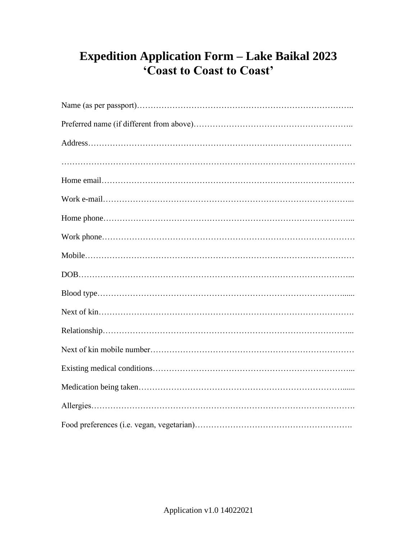## **Expedition Application Form – Lake Baikal 2023 'Coast to Coast to Coast'**